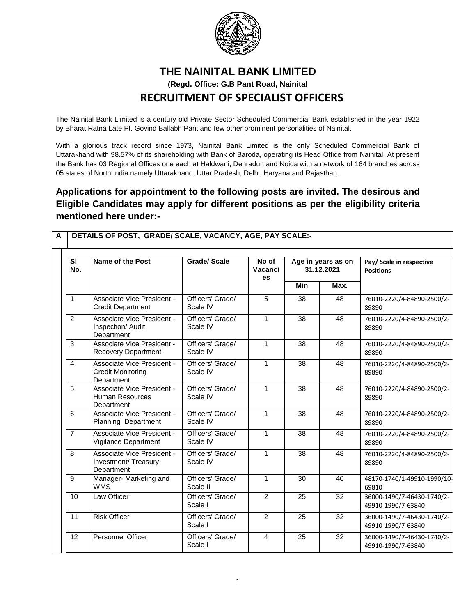

### **THE NAINITAL BANK LIMITED (Regd. Office: G.B Pant Road, Nainital RECRUITMENT OF SPECIALIST OFFICERS**

The Nainital Bank Limited is a century old Private Sector Scheduled Commercial Bank established in the year 1922 by Bharat Ratna Late Pt. Govind Ballabh Pant and few other prominent personalities of Nainital.

With a glorious track record since 1973, Nainital Bank Limited is the only Scheduled Commercial Bank of Uttarakhand with 98.57% of its shareholding with Bank of Baroda, operating its Head Office from Nainital. At present the Bank has 03 Regional Offices one each at Haldwani, Dehradun and Noida with a network of 164 branches across 05 states of North India namely Uttarakhand, Uttar Pradesh, Delhi, Haryana and Rajasthan.

#### **Applications for appointment to the following posts are invited. The desirous and Eligible Candidates may apply for different positions as per the eligibility criteria mentioned here under:-**

| <b>SI</b><br>No. | Name of the Post                                                     | <b>Grade/Scale</b>           | No of<br>Vacanci<br><b>es</b> | Age in years as on<br>31.12.2021 |      | Pay/ Scale in respective<br><b>Positions</b>     |
|------------------|----------------------------------------------------------------------|------------------------------|-------------------------------|----------------------------------|------|--------------------------------------------------|
|                  |                                                                      |                              |                               | Min                              | Max. |                                                  |
| $\mathbf{1}$     | Associate Vice President -<br><b>Credit Department</b>               | Officers' Grade/<br>Scale IV | 5                             | 38                               | 48   | 76010-2220/4-84890-2500/2-<br>89890              |
| 2                | Associate Vice President -<br>Inspection/ Audit<br>Department        | Officers' Grade/<br>Scale IV | $\mathbf{1}$                  | 38                               | 48   | 76010-2220/4-84890-2500/2-<br>89890              |
| 3                | Associate Vice President -<br><b>Recovery Department</b>             | Officers' Grade/<br>Scale IV | $\mathbf{1}$                  | 38                               | 48   | 76010-2220/4-84890-2500/2-<br>89890              |
| $\overline{4}$   | Associate Vice President -<br><b>Credit Monitoring</b><br>Department | Officers' Grade/<br>Scale IV | $\mathbf{1}$                  | 38                               | 48   | 76010-2220/4-84890-2500/2-<br>89890              |
| 5                | Associate Vice President -<br>Human Resources<br>Department          | Officers' Grade/<br>Scale IV | $\mathbf{1}$                  | 38                               | 48   | 76010-2220/4-84890-2500/2-<br>89890              |
| 6                | Associate Vice President -<br>Planning Department                    | Officers' Grade/<br>Scale IV | $\mathbf{1}$                  | 38                               | 48   | 76010-2220/4-84890-2500/2-<br>89890              |
| $\overline{7}$   | Associate Vice President -<br>Vigilance Department                   | Officers' Grade/<br>Scale IV | $\mathbf{1}$                  | 38                               | 48   | 76010-2220/4-84890-2500/2-<br>89890              |
| 8                | Associate Vice President -<br>Investment/ Treasury<br>Department     | Officers' Grade/<br>Scale IV | $\mathbf{1}$                  | 38                               | 48   | 76010-2220/4-84890-2500/2-<br>89890              |
| 9                | Manager- Marketing and<br><b>WMS</b>                                 | Officers' Grade/<br>Scale II | $\mathbf{1}$                  | 30                               | 40   | 48170-1740/1-49910-1990/10-<br>69810             |
| 10               | Law Officer                                                          | Officers' Grade/<br>Scale I  | 2                             | 25                               | 32   | 36000-1490/7-46430-1740/2-<br>49910-1990/7-63840 |
| 11               | <b>Risk Officer</b>                                                  | Officers' Grade/<br>Scale I  | $\overline{2}$                | 25                               | 32   | 36000-1490/7-46430-1740/2-<br>49910-1990/7-63840 |
| 12               | <b>Personnel Officer</b>                                             | Officers' Grade/<br>Scale I  | $\overline{4}$                | 25                               | 32   | 36000-1490/7-46430-1740/2-<br>49910-1990/7-63840 |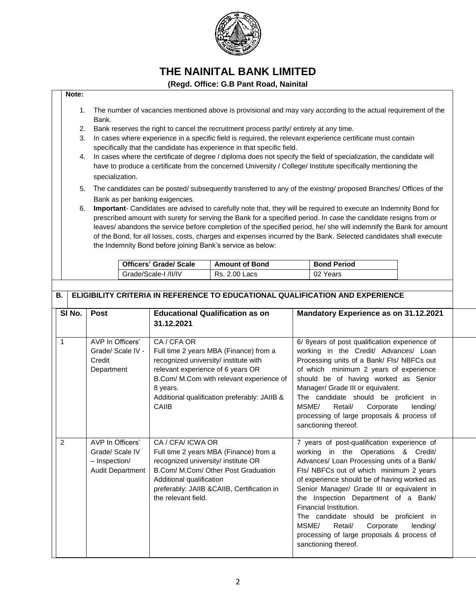

#### **(Regd. Office: G.B Pant Road, Nainital**

#### **Note:**

- 1. The number of vacancies mentioned above is provisional and may vary according to the actual requirement of the Bank.
- 2. Bank reserves the right to cancel the recruitment process partly/ entirely at any time.
- 3. In cases where experience in a specific field is required, the relevant experience certificate must contain specifically that the candidate has experience in that specific field.
- 4. In cases where the certificate of degree / diploma does not specify the field of specialization, the candidate will have to produce a certificate from the concerned University / College/ Institute specifically mentioning the specialization.
- 5. The candidates can be posted/ subsequently transferred to any of the existing/ proposed Branches/ Offices of the Bank as per banking exigencies.
- 6. **Important** Candidates are advised to carefully note that, they will be required to execute an Indemnity Bond for prescribed amount with surety for serving the Bank for a specified period. In case the candidate resigns from or leaves/ abandons the service before completion of the specified period, he/ she will indemnify the Bank for amount of the Bond, for all losses, costs, charges and expenses incurred by the Bank. Selected candidates shall execute the Indemnity Bond before joining Bank's service as below:

| <b>Officers' Grade/ Scale</b> | <b>Amount of Bond</b> | <b>Bond Period</b> |
|-------------------------------|-----------------------|--------------------|
| Grade/Scale-I /II/IV          | Rs. 2.00 Lacs         | 02 Years           |

| <b>B.</b>    | ELIGIBILITY CRITERIA IN REFERENCE TO EDUCATIONAL QUALIFICATION AND EXPERIENCE |                                                                                 |                                                                                                                                                                                                                                                      |                                                                                                                                                                                                                                                                                                                                                                                                                                                                                                        |  |
|--------------|-------------------------------------------------------------------------------|---------------------------------------------------------------------------------|------------------------------------------------------------------------------------------------------------------------------------------------------------------------------------------------------------------------------------------------------|--------------------------------------------------------------------------------------------------------------------------------------------------------------------------------------------------------------------------------------------------------------------------------------------------------------------------------------------------------------------------------------------------------------------------------------------------------------------------------------------------------|--|
|              | SI No.                                                                        | Post                                                                            | <b>Educational Qualification as on</b><br>31.12.2021                                                                                                                                                                                                 | Mandatory Experience as on 31.12.2021                                                                                                                                                                                                                                                                                                                                                                                                                                                                  |  |
| $\mathbf{1}$ |                                                                               | AVP In Officers'<br>Grade/ Scale IV -<br>Credit<br>Department                   | CA / CFA OR<br>Full time 2 years MBA (Finance) from a<br>recognized university/ institute with<br>relevant experience of 6 years OR<br>B.Com/ M.Com with relevant experience of<br>8 years.<br>Additional qualification preferably: JAIIB &<br>CAIIB | 6/ 8years of post qualification experience of<br>working in the Credit/ Advances/ Loan<br>Processing units of a Bank/ Fls/ NBFCs out<br>of which minimum 2 years of experience<br>should be of having worked as Senior<br>Manager/ Grade III or equivalent.<br>The candidate should be proficient in<br>MSME/<br>Retail/<br>Corporate<br>lending/<br>processing of large proposals & process of<br>sanctioning thereof.                                                                                |  |
| 2            |                                                                               | AVP In Officers'<br>Grade/ Scale IV<br>- Inspection/<br><b>Audit Department</b> | CA / CFA/ ICWA OR<br>Full time 2 years MBA (Finance) from a<br>recognized university/ institute OR<br>B.Com/ M.Com/ Other Post Graduation<br>Additional qualification<br>preferably: JAIIB &CAIIB, Certification in<br>the relevant field.           | 7 years of post-qualification experience of<br>working in the Operations & Credit/<br>Advances/ Loan Processing units of a Bank/<br>FIs/ NBFCs out of which minimum 2 years<br>of experience should be of having worked as<br>Senior Manager/ Grade III or equivalent in<br>the Inspection Department of a Bank/<br>Financial Institution.<br>The candidate should be proficient in<br>MSME/<br>Retail/<br>Corporate<br>lending/<br>processing of large proposals & process of<br>sanctioning thereof. |  |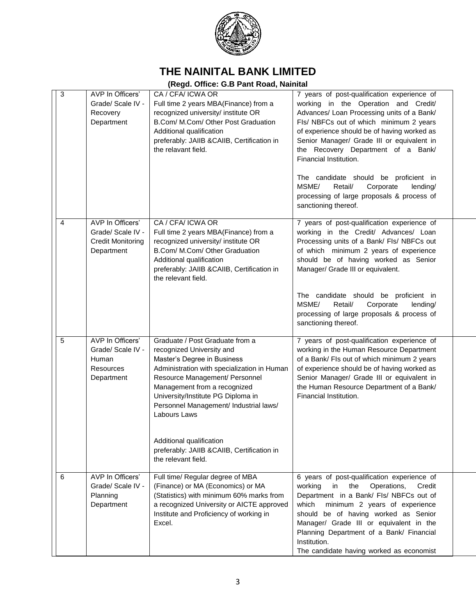

| 3 | AVP In Officers'<br>Grade/ Scale IV -<br>Recovery<br>Department                  | CA / CFA/ ICWA OR<br>Full time 2 years MBA(Finance) from a<br>recognized university/ institute OR<br>B.Com/ M.Com/ Other Post Graduation<br>Additional qualification<br>preferably: JAIIB & CAIIB, Certification in<br>the relavant field.                                                                   | 7 years of post-qualification experience of<br>working in the Operation and Credit/<br>Advances/ Loan Processing units of a Bank/<br>Fls/ NBFCs out of which minimum 2 years<br>of experience should be of having worked as<br>Senior Manager/ Grade III or equivalent in<br>the Recovery Department of a Bank/<br>Financial Institution.                                     |
|---|----------------------------------------------------------------------------------|--------------------------------------------------------------------------------------------------------------------------------------------------------------------------------------------------------------------------------------------------------------------------------------------------------------|-------------------------------------------------------------------------------------------------------------------------------------------------------------------------------------------------------------------------------------------------------------------------------------------------------------------------------------------------------------------------------|
|   |                                                                                  |                                                                                                                                                                                                                                                                                                              | The candidate should be proficient in<br>MSME/<br>Retail/<br>Corporate<br>lending/<br>processing of large proposals & process of<br>sanctioning thereof.                                                                                                                                                                                                                      |
| 4 | AVP In Officers'<br>Grade/ Scale IV -<br><b>Credit Monitoring</b><br>Department  | CA / CFA/ ICWA OR<br>Full time 2 years MBA(Finance) from a<br>recognized university/ institute OR<br>B.Com/ M.Com/ Other Graduation<br>Additional qualification<br>preferably: JAIIB &CAIIB, Certification in<br>the relevant field.                                                                         | 7 years of post-qualification experience of<br>working in the Credit/ Advances/ Loan<br>Processing units of a Bank/ Fls/ NBFCs out<br>of which minimum 2 years of experience<br>should be of having worked as Senior<br>Manager/ Grade III or equivalent.                                                                                                                     |
|   |                                                                                  |                                                                                                                                                                                                                                                                                                              | The candidate should be proficient in<br>MSME/<br>Retail/<br>Corporate<br>lending/<br>processing of large proposals & process of<br>sanctioning thereof.                                                                                                                                                                                                                      |
| 5 | AVP In Officers'<br>Grade/ Scale IV -<br>Human<br><b>Resources</b><br>Department | Graduate / Post Graduate from a<br>recognized University and<br>Master's Degree in Business<br>Administration with specialization in Human<br>Resource Management/ Personnel<br>Management from a recognized<br>University/Institute PG Diploma in<br>Personnel Management/ Industrial laws/<br>Labours Laws | 7 years of post-qualification experience of<br>working in the Human Resource Department<br>of a Bank/ FIs out of which minimum 2 years<br>of experience should be of having worked as<br>Senior Manager/ Grade III or equivalent in<br>the Human Resource Department of a Bank/<br>Financial Institution.                                                                     |
|   |                                                                                  | Additional qualification<br>preferably: JAIIB &CAIIB, Certification in<br>the relevant field.                                                                                                                                                                                                                |                                                                                                                                                                                                                                                                                                                                                                               |
| 6 | AVP In Officers'<br>Grade/ Scale IV -<br>Planning<br>Department                  | Full time/ Regular degree of MBA<br>(Finance) or MA (Economics) or MA<br>(Statistics) with minimum 60% marks from<br>a recognized University or AICTE approved<br>Institute and Proficiency of working in<br>Excel.                                                                                          | 6 years of post-qualification experience of<br>working<br>the<br>Operations,<br>Credit<br>in.<br>Department in a Bank/ Fls/ NBFCs out of<br>which<br>minimum 2 years of experience<br>should be of having worked as Senior<br>Manager/ Grade III or equivalent in the<br>Planning Department of a Bank/ Financial<br>Institution.<br>The candidate having worked as economist |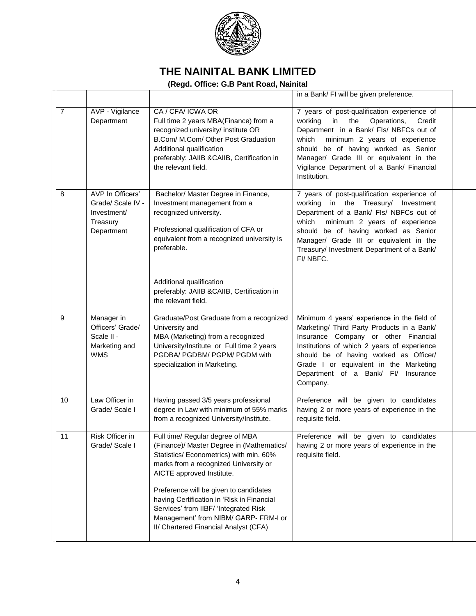

|                |                                                                                |                                                                                                                                                                                                                                                                                                                                                                                                                   | in a Bank/ FI will be given preference.                                                                                                                                                                                                                                                                                           |  |
|----------------|--------------------------------------------------------------------------------|-------------------------------------------------------------------------------------------------------------------------------------------------------------------------------------------------------------------------------------------------------------------------------------------------------------------------------------------------------------------------------------------------------------------|-----------------------------------------------------------------------------------------------------------------------------------------------------------------------------------------------------------------------------------------------------------------------------------------------------------------------------------|--|
| $\overline{7}$ | AVP - Vigilance<br>Department                                                  | CA / CFA/ ICWA OR<br>Full time 2 years MBA(Finance) from a<br>recognized university/ institute OR<br>B.Com/ M.Com/ Other Post Graduation<br>Additional qualification<br>preferably: JAIIB &CAIIB, Certification in<br>the relevant field.                                                                                                                                                                         | 7 years of post-qualification experience of<br>working<br>in<br>the<br>Operations,<br>Credit<br>Department in a Bank/ Fls/ NBFCs out of<br>which<br>minimum 2 years of experience<br>should be of having worked as Senior<br>Manager/ Grade III or equivalent in the<br>Vigilance Department of a Bank/ Financial<br>Institution. |  |
| 8              | AVP In Officers'<br>Grade/ Scale IV -<br>Investment/<br>Treasury<br>Department | Bachelor/ Master Degree in Finance,<br>Investment management from a<br>recognized university.<br>Professional qualification of CFA or<br>equivalent from a recognized university is<br>preferable.<br>Additional qualification<br>preferably: JAIIB &CAIIB, Certification in<br>the relevant field.                                                                                                               | 7 years of post-qualification experience of<br>working<br>in the Treasury/ Investment<br>Department of a Bank/ Fls/ NBFCs out of<br>which<br>minimum 2 years of experience<br>should be of having worked as Senior<br>Manager/ Grade III or equivalent in the<br>Treasury/ Investment Department of a Bank/<br>FI/NBFC.           |  |
| 9              | Manager in<br>Officers' Grade/<br>Scale II -<br>Marketing and<br><b>WMS</b>    | Graduate/Post Graduate from a recognized<br>University and<br>MBA (Marketing) from a recognized<br>University/Institute or Full time 2 years<br>PGDBA/ PGDBM/ PGPM/ PGDM with<br>specialization in Marketing.                                                                                                                                                                                                     | Minimum 4 years' experience in the field of<br>Marketing/ Third Party Products in a Bank/<br>Insurance Company or other Financial<br>Institutions of which 2 years of experience<br>should be of having worked as Officer/<br>Grade I or equivalent in the Marketing<br>Department of a Bank/ FI/ Insurance<br>Company.           |  |
| 10             | Law Officer in<br>Grade/ Scale I                                               | Having passed 3/5 years professional<br>degree in Law with minimum of 55% marks<br>from a recognized University/Institute.                                                                                                                                                                                                                                                                                        | Preference will be given to candidates<br>having 2 or more years of experience in the<br>requisite field.                                                                                                                                                                                                                         |  |
| 11             | Risk Officer in<br>Grade/ Scale I                                              | Full time/ Regular degree of MBA<br>(Finance)/ Master Degree in (Mathematics/<br>Statistics/ Econometrics) with min. 60%<br>marks from a recognized University or<br>AICTE approved Institute.<br>Preference will be given to candidates<br>having Certification in 'Risk in Financial<br>Services' from IIBF/ 'Integrated Risk<br>Management' from NIBM/ GARP- FRM-I or<br>II/ Chartered Financial Analyst (CFA) | Preference will be given to candidates<br>having 2 or more years of experience in the<br>requisite field.                                                                                                                                                                                                                         |  |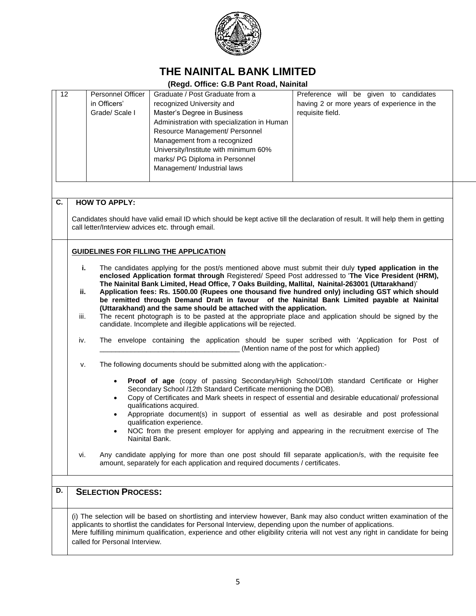

| 12                                                                                                                                                                                                                                                          |     | <b>Personnel Officer</b><br>in Officers'<br>Grade/ Scale I | Graduate / Post Graduate from a<br>recognized University and<br>Master's Degree in Business<br>Administration with specialization in Human<br>Resource Management/ Personnel<br>Management from a recognized<br>University/Institute with minimum 60%<br>marks/ PG Diploma in Personnel<br>Management/ Industrial laws | Preference will be given to candidates<br>having 2 or more years of experience in the<br>requisite field.                                                                                                                                                                                                                                                                                    |
|-------------------------------------------------------------------------------------------------------------------------------------------------------------------------------------------------------------------------------------------------------------|-----|------------------------------------------------------------|------------------------------------------------------------------------------------------------------------------------------------------------------------------------------------------------------------------------------------------------------------------------------------------------------------------------|----------------------------------------------------------------------------------------------------------------------------------------------------------------------------------------------------------------------------------------------------------------------------------------------------------------------------------------------------------------------------------------------|
| C.                                                                                                                                                                                                                                                          |     | <b>HOW TO APPLY:</b>                                       |                                                                                                                                                                                                                                                                                                                        |                                                                                                                                                                                                                                                                                                                                                                                              |
|                                                                                                                                                                                                                                                             |     |                                                            | call letter/Interview advices etc. through email.                                                                                                                                                                                                                                                                      | Candidates should have valid email ID which should be kept active till the declaration of result. It will help them in getting                                                                                                                                                                                                                                                               |
|                                                                                                                                                                                                                                                             |     |                                                            | <b>GUIDELINES FOR FILLING THE APPLICATION</b>                                                                                                                                                                                                                                                                          |                                                                                                                                                                                                                                                                                                                                                                                              |
|                                                                                                                                                                                                                                                             | i.  |                                                            |                                                                                                                                                                                                                                                                                                                        | The candidates applying for the post/s mentioned above must submit their duly typed application in the<br>enclosed Application format through Registered/ Speed Post addressed to 'The Vice President (HRM),                                                                                                                                                                                 |
|                                                                                                                                                                                                                                                             | ii. |                                                            | The Nainital Bank Limited, Head Office, 7 Oaks Building, Mallital, Nainital-263001 (Uttarakhand)'                                                                                                                                                                                                                      | Application fees: Rs. 1500.00 (Rupees one thousand five hundred only) including GST which should<br>be remitted through Demand Draft in favour of the Nainital Bank Limited payable at Nainital                                                                                                                                                                                              |
| (Uttarakhand) and the same should be attached with the application.<br>The recent photograph is to be pasted at the appropriate place and application should be signed by the<br>iii.<br>candidate. Incomplete and illegible applications will be rejected. |     |                                                            |                                                                                                                                                                                                                                                                                                                        |                                                                                                                                                                                                                                                                                                                                                                                              |
|                                                                                                                                                                                                                                                             | iv. |                                                            |                                                                                                                                                                                                                                                                                                                        | The envelope containing the application should be super scribed with 'Application for Post of<br>(Mention name of the post for which applied)                                                                                                                                                                                                                                                |
|                                                                                                                                                                                                                                                             | v.  |                                                            | The following documents should be submitted along with the application:-                                                                                                                                                                                                                                               |                                                                                                                                                                                                                                                                                                                                                                                              |
|                                                                                                                                                                                                                                                             |     | $\bullet$<br>$\bullet$                                     | Secondary School /12th Standard Certificate mentioning the DOB).<br>qualifications acquired.<br>qualification experience.<br>Nainital Bank.                                                                                                                                                                            | Proof of age (copy of passing Secondary/High School/10th standard Certificate or Higher<br>Copy of Certificates and Mark sheets in respect of essential and desirable educational/ professional<br>Appropriate document(s) in support of essential as well as desirable and post professional<br>NOC from the present employer for applying and appearing in the recruitment exercise of The |
|                                                                                                                                                                                                                                                             | vi. |                                                            | amount, separately for each application and required documents / certificates.                                                                                                                                                                                                                                         | Any candidate applying for more than one post should fill separate application/s, with the requisite fee                                                                                                                                                                                                                                                                                     |
| D.                                                                                                                                                                                                                                                          |     | <b>SELECTION PROCESS:</b>                                  |                                                                                                                                                                                                                                                                                                                        |                                                                                                                                                                                                                                                                                                                                                                                              |
|                                                                                                                                                                                                                                                             |     | called for Personal Interview.                             | applicants to shortlist the candidates for Personal Interview, depending upon the number of applications.                                                                                                                                                                                                              | (i) The selection will be based on shortlisting and interview however, Bank may also conduct written examination of the<br>Mere fulfilling minimum qualification, experience and other eligibility criteria will not vest any right in candidate for being                                                                                                                                   |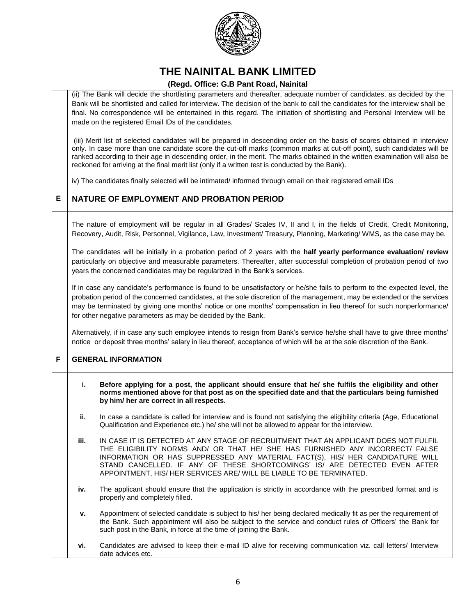

|   |                                                                                                                                                                                                                                                                                                                                                                                                                                              | (ii) The Bank will decide the shortlisting parameters and thereafter, adequate number of candidates, as decided by the<br>Bank will be shortlisted and called for interview. The decision of the bank to call the candidates for the interview shall be<br>final. No correspondence will be entertained in this regard. The initiation of shortlisting and Personal Interview will be<br>made on the registered Email IDs of the candidates.                                           |  |  |
|---|----------------------------------------------------------------------------------------------------------------------------------------------------------------------------------------------------------------------------------------------------------------------------------------------------------------------------------------------------------------------------------------------------------------------------------------------|----------------------------------------------------------------------------------------------------------------------------------------------------------------------------------------------------------------------------------------------------------------------------------------------------------------------------------------------------------------------------------------------------------------------------------------------------------------------------------------|--|--|
|   |                                                                                                                                                                                                                                                                                                                                                                                                                                              | (iii) Merit list of selected candidates will be prepared in descending order on the basis of scores obtained in interview<br>only. In case more than one candidate score the cut-off marks (common marks at cut-off point), such candidates will be<br>ranked according to their age in descending order, in the merit. The marks obtained in the written examination will also be<br>reckoned for arriving at the final merit list (only if a written test is conducted by the Bank). |  |  |
|   |                                                                                                                                                                                                                                                                                                                                                                                                                                              | iv) The candidates finally selected will be intimated/ informed through email on their registered email IDs                                                                                                                                                                                                                                                                                                                                                                            |  |  |
| Е |                                                                                                                                                                                                                                                                                                                                                                                                                                              | NATURE OF EMPLOYMENT AND PROBATION PERIOD                                                                                                                                                                                                                                                                                                                                                                                                                                              |  |  |
|   |                                                                                                                                                                                                                                                                                                                                                                                                                                              | The nature of employment will be regular in all Grades/ Scales IV, II and I, in the fields of Credit, Credit Monitoring,<br>Recovery, Audit, Risk, Personnel, Vigilance, Law, Investment/ Treasury, Planning, Marketing/ WMS, as the case may be.                                                                                                                                                                                                                                      |  |  |
|   | The candidates will be initially in a probation period of 2 years with the half yearly performance evaluation/ review<br>particularly on objective and measurable parameters. Thereafter, after successful completion of probation period of two<br>years the concerned candidates may be regularized in the Bank's services.                                                                                                                |                                                                                                                                                                                                                                                                                                                                                                                                                                                                                        |  |  |
|   | If in case any candidate's performance is found to be unsatisfactory or he/she fails to perform to the expected level, the<br>probation period of the concerned candidates, at the sole discretion of the management, may be extended or the services<br>may be terminated by giving one months' notice or one months' compensation in lieu thereof for such nonperformance/<br>for other negative parameters as may be decided by the Bank. |                                                                                                                                                                                                                                                                                                                                                                                                                                                                                        |  |  |
|   |                                                                                                                                                                                                                                                                                                                                                                                                                                              | Alternatively, if in case any such employee intends to resign from Bank's service he/she shall have to give three months'<br>notice or deposit three months' salary in lieu thereof, acceptance of which will be at the sole discretion of the Bank.                                                                                                                                                                                                                                   |  |  |
| F |                                                                                                                                                                                                                                                                                                                                                                                                                                              | <b>GENERAL INFORMATION</b>                                                                                                                                                                                                                                                                                                                                                                                                                                                             |  |  |
|   | i.                                                                                                                                                                                                                                                                                                                                                                                                                                           | Before applying for a post, the applicant should ensure that he/ she fulfils the eligibility and other<br>norms mentioned above for that post as on the specified date and that the particulars being furnished<br>by him/ her are correct in all respects.                                                                                                                                                                                                                            |  |  |
|   | ii.                                                                                                                                                                                                                                                                                                                                                                                                                                          | In case a candidate is called for interview and is found not satisfying the eligibility criteria (Age, Educational<br>Qualification and Experience etc.) he/ she will not be allowed to appear for the interview.                                                                                                                                                                                                                                                                      |  |  |
|   | ш.                                                                                                                                                                                                                                                                                                                                                                                                                                           | IN CASE IT IS DETECTED AT ANY STAGE OF RECRUITMENT THAT AN APPLICANT DOES NOT FULFIL<br>THE ELIGIBILITY NORMS AND/ OR THAT HE/ SHE HAS FURNISHED ANY INCORRECT/ FALSE<br>INFORMATION OR HAS SUPPRESSED ANY MATERIAL FACT(S), HIS/ HER CANDIDATURE WILL<br>STAND CANCELLED. IF ANY OF THESE SHORTCOMINGS' IS/ ARE DETECTED EVEN AFTER<br>APPOINTMENT, HIS/HER SERVICES ARE/WILL BE LIABLE TO BE TERMINATED.                                                                             |  |  |
|   | iv.                                                                                                                                                                                                                                                                                                                                                                                                                                          | The applicant should ensure that the application is strictly in accordance with the prescribed format and is<br>properly and completely filled.                                                                                                                                                                                                                                                                                                                                        |  |  |
|   | v.                                                                                                                                                                                                                                                                                                                                                                                                                                           | Appointment of selected candidate is subject to his/ her being declared medically fit as per the requirement of<br>the Bank. Such appointment will also be subject to the service and conduct rules of Officers' the Bank for<br>such post in the Bank, in force at the time of joining the Bank.                                                                                                                                                                                      |  |  |
|   | vi.                                                                                                                                                                                                                                                                                                                                                                                                                                          | Candidates are advised to keep their e-mail ID alive for receiving communication viz. call letters/ Interview<br>date advices etc.                                                                                                                                                                                                                                                                                                                                                     |  |  |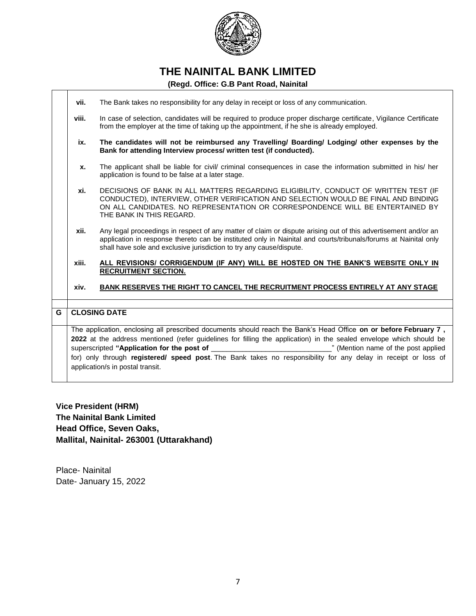

#### **(Regd. Office: G.B Pant Road, Nainital**

|   | vii.                                                                                                                                                                                                                                                                                                                                                                                          | The Bank takes no responsibility for any delay in receipt or loss of any communication.                                                                                                                                                                                                                   |  |  |
|---|-----------------------------------------------------------------------------------------------------------------------------------------------------------------------------------------------------------------------------------------------------------------------------------------------------------------------------------------------------------------------------------------------|-----------------------------------------------------------------------------------------------------------------------------------------------------------------------------------------------------------------------------------------------------------------------------------------------------------|--|--|
|   | viii.                                                                                                                                                                                                                                                                                                                                                                                         | In case of selection, candidates will be required to produce proper discharge certificate, Vigilance Certificate<br>from the employer at the time of taking up the appointment, if he she is already employed.                                                                                            |  |  |
|   | ix.                                                                                                                                                                                                                                                                                                                                                                                           | The candidates will not be reimbursed any Travelling/ Boarding/ Lodging/ other expenses by the<br>Bank for attending Interview process/ written test (if conducted).                                                                                                                                      |  |  |
|   | X.                                                                                                                                                                                                                                                                                                                                                                                            | The applicant shall be liable for civil/ criminal consequences in case the information submitted in his/ her<br>application is found to be false at a later stage.                                                                                                                                        |  |  |
|   | xi.                                                                                                                                                                                                                                                                                                                                                                                           | DECISIONS OF BANK IN ALL MATTERS REGARDING ELIGIBILITY, CONDUCT OF WRITTEN TEST (IF<br>CONDUCTED), INTERVIEW, OTHER VERIFICATION AND SELECTION WOULD BE FINAL AND BINDING<br>ON ALL CANDIDATES. NO REPRESENTATION OR CORRESPONDENCE WILL BE ENTERTAINED BY<br>THE BANK IN THIS REGARD.                    |  |  |
|   | xii.                                                                                                                                                                                                                                                                                                                                                                                          | Any legal proceedings in respect of any matter of claim or dispute arising out of this advertisement and/or an<br>application in response thereto can be instituted only in Nainital and courts/tribunals/forums at Nainital only<br>shall have sole and exclusive jurisdiction to try any cause/dispute. |  |  |
|   | xiii.                                                                                                                                                                                                                                                                                                                                                                                         | ALL REVISIONS/ CORRIGENDUM (IF ANY) WILL BE HOSTED ON THE BANK'S WEBSITE ONLY IN<br><b>RECRUITMENT SECTION.</b>                                                                                                                                                                                           |  |  |
|   | xiv.                                                                                                                                                                                                                                                                                                                                                                                          | BANK RESERVES THE RIGHT TO CANCEL THE RECRUITMENT PROCESS ENTIRELY AT ANY STAGE                                                                                                                                                                                                                           |  |  |
|   |                                                                                                                                                                                                                                                                                                                                                                                               |                                                                                                                                                                                                                                                                                                           |  |  |
| G |                                                                                                                                                                                                                                                                                                                                                                                               | <b>CLOSING DATE</b>                                                                                                                                                                                                                                                                                       |  |  |
|   | The application, enclosing all prescribed documents should reach the Bank's Head Office on or before February 7,<br>2022 at the address mentioned (refer guidelines for filling the application) in the sealed envelope which should be<br>for) only through registered/ speed post. The Bank takes no responsibility for any delay in receipt or loss of<br>application/s in postal transit. |                                                                                                                                                                                                                                                                                                           |  |  |

**Vice President (HRM) The Nainital Bank Limited Head Office, Seven Oaks, Mallital, Nainital- 263001 (Uttarakhand)**

Place- Nainital Date- January 15, 2022